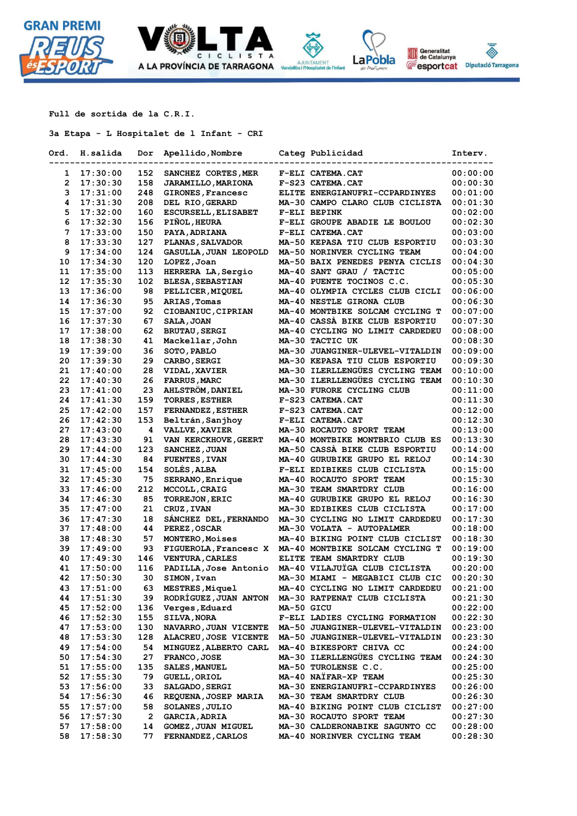



**Full de sortida de la C.R.I.**

**3a Etapa - L Hospitalet de l Infant - CRI**

| Ord.     | H.salida             | Dor          | Apellido,Nombre                               |            | Categ Publicidad                                               | <b>Interv.</b>       |
|----------|----------------------|--------------|-----------------------------------------------|------------|----------------------------------------------------------------|----------------------|
|          |                      |              |                                               |            |                                                                |                      |
| 1        | 17:30:00             | 152          | SANCHEZ CORTES, MER                           |            | F-ELI CATEMA.CAT                                               | 00:00:00             |
| 2        | 17:30:30             | 158          | <b>JARAMILLO, MARIONA</b>                     |            | F-S23 CATEMA.CAT                                               | 00:00:30             |
| 3        | 17:31:00             | 248          | GIRONES, Francesc                             |            | ELITE ENERGIANUFRI-CCPARDINYES                                 | 00:01:00             |
| 4        | 17:31:30             | 208          | DEL RIO, GERARD                               |            | MA-30 CAMPO CLARO CLUB CICLISTA                                | 00:01:30             |
| 5        | 17:32:00             | 160          | ESCURSELL, ELISABET                           |            | F-ELI BEPINK                                                   | 00:02:00             |
| 6<br>7   | 17:32:30             | 156          | PIÑOL, HEURA                                  |            | F-ELI GROUPE ABADIE LE BOULOU                                  | 00:02:30             |
| 8        | 17:33:00             | 150<br>127   | PAYA, ADRIANA                                 |            | F-ELI CATEMA.CAT                                               | 00:03:00             |
|          | 17:33:30             |              | PLANAS, SALVADOR                              |            | MA-50 KEPASA TIU CLUB ESPORTIU                                 | 00:03:30             |
| 9        | 17:34:00             | 124<br>120   | GASULLA, JUAN LEOPOLD                         |            | MA-50 NORINVER CYCLING TEAM<br>MA-50 BAIX PENEDES PENYA CICLIS | 00:04:00             |
| 10       | 17:34:30<br>17:35:00 | 113          | LOPEZ, Joan                                   |            | MA-40 SANT GRAU / TACTIC                                       | 00:04:30<br>00:05:00 |
| 11<br>12 | 17:35:30             | 102          | HERRERA LA, Sergio<br><b>BLESA, SEBASTIAN</b> |            | MA-40 PUENTE TOCINOS C.C.                                      | 00:05:30             |
| 13       | 17:36:00             | 98           | PELLICER, MIQUEL                              |            | MA-40 OLYMPIA CYCLES CLUB CICLI                                | 00:06:00             |
| 14       | 17:36:30             | 95           | ARIAS, Tomas                                  |            | MA-40 NESTLE GIRONA CLUB                                       | 00:06:30             |
| 15       | 17:37:00             | 92           | CIOBANIUC, CIPRIAN                            |            | MA-40 MONTBIKE SOLCAM CYCLING T                                | 00:07:00             |
| 16       | 17:37:30             | 67           | <b>SALA, JOAN</b>                             |            | MA-40 CASSA BIKE CLUB ESPORTIU                                 | 00:07:30             |
| 17       | 17:38:00             | 62           | <b>BRUTAU, SERGI</b>                          |            | MA-40 CYCLING NO LIMIT CARDEDEU                                | 00:08:00             |
| 18       | 17:38:30             | 41           | Mackellar, John                               |            | MA-30 TACTIC UK                                                | 00:08:30             |
| 19       | 17:39:00             | 36           | SOTO, PABLO                                   |            | MA-30 JUANGINER-ULEVEL-VITALDIN                                | 00:09:00             |
| 20       | 17:39:30             | 29           | <b>CARBO, SERGI</b>                           |            | MA-30 KEPASA TIU CLUB ESPORTIU                                 | 00:09:30             |
| 21       | 17:40:00             | 28           | <b>VIDAL, XAVIER</b>                          |            | MA-30 ILERLLENGÜES CYCLING TEAM                                | 00:10:00             |
| 22       | 17:40:30             | 26           | <b>FARRUS, MARC</b>                           |            | MA-30 ILERLLENGÜES CYCLING TEAM                                | 00:10:30             |
| 23       | 17:41:00             | 23           | <b>AHLSTROM, DANIEL</b>                       |            | MA-30 FURORE CYCLING CLUB                                      | 00:11:00             |
| 24       | 17:41:30             | 159          | <b>TORRES, ESTHER</b>                         |            | F-S23 CATEMA.CAT                                               | 00:11:30             |
| 25       | 17:42:00             | 157          | <b>FERNANDEZ, ESTHER</b>                      |            | F-S23 CATEMA.CAT                                               | 00:12:00             |
| 26       | 17:42:30             | 153          | Beltrán, Sanjhoy                              |            | F-ELI CATEMA.CAT                                               | 00:12:30             |
| 27       | 17:43:00             | 4            | <b>VALLVE, XAVIER</b>                         |            | MA-30 ROCAUTO SPORT TEAM                                       | 00:13:00             |
| 28       | 17:43:30             | 91           | VAN KERCKHOVE, GEERT                          |            | MA-40 MONTBIKE MONTBRIO CLUB ES                                | 00:13:30             |
| 29       | 17:44:00             | 123          | SANCHEZ, JUAN                                 |            | MA-50 CASSA BIKE CLUB ESPORTIU                                 | 00:14:00             |
| 30       | 17:44:30             | 84           | <b>FUENTES, IVAN</b>                          |            | MA-40 GURUBIKE GRUPO EL RELOJ                                  | 00:14:30             |
| 31       | 17:45:00             | 154          | SOLÉS, ALBA                                   |            | F-ELI EDIBIKES CLUB CICLISTA                                   | 00:15:00             |
| 32       | 17:45:30             | 75           | SERRANO, Enrique                              |            | MA-40 ROCAUTO SPORT TEAM                                       | 00:15:30             |
| 33       | 17:46:00             | 212          | MCCOLL, CRAIG                                 |            | MA-30 TEAM SMARTDRY CLUB                                       | 00:16:00             |
| 34       | 17:46:30             | 85           | <b>TORREJON, ERIC</b>                         |            | MA-40 GURUBIKE GRUPO EL RELOJ                                  | 00:16:30             |
| 35       | 17:47:00             | 21           | CRUZ, IVAN                                    |            | MA-30 EDIBIKES CLUB CICLISTA                                   | 00:17:00             |
| 36       | 17:47:30             | 18           | SÁNCHEZ DEL, FERNANDO                         |            | MA-30 CYCLING NO LIMIT CARDEDEU                                | 00:17:30             |
| 37       | 17:48:00             | 44           | PEREZ, OSCAR                                  |            | MA-30 VOLATA - AUTOPALMER                                      | 00:18:00             |
| 38       | 17:48:30             | 57           | <b>MONTERO, Moises</b>                        |            | MA-40 BIKING POINT CLUB CICLIST                                | 00:18:30             |
| 39       | 17:49:00             | 93           |                                               |            | FIGUEROLA, Francesc X MA-40 MONTBIKE SOLCAM CYCLING T          | 00:19:00             |
| 40       | 17:49:30             | 146          | <b>VENTURA, CARLES</b>                        |            | ELITE TEAM SMARTDRY CLUB                                       | 00:19:30             |
| 41       | 17:50:00             | 116          | PADILLA, Jose Antonio                         |            | MA-40 VILAJUÏGA CLUB CICLISTA                                  | 00:20:00             |
| 42       | 17:50:30             | 30           | SIMON, Ivan                                   |            | MA-30 MIAMI - MEGABICI CLUB CIC                                | 00:20:30             |
| 43       | 17:51:00             | 63           | MESTRES, Miquel                               |            | MA-40 CYCLING NO LIMIT CARDEDEU                                | 00:21:00             |
| 44       | 17:51:30             | 39           | RODRÍGUEZ, JUAN ANTON                         |            | MA-30 RATPENAT CLUB CICLISTA                                   | 00:21:30             |
| 45       | 17:52:00             | 136          | Verges, Eduard                                | MA-50 GICU |                                                                | 00:22:00             |
| 46       | 17:52:30             | 155          | SILVA, NORA                                   |            | F-ELI LADIES CYCLING FORMATION                                 | 00:22:30             |
| 47       | 17:53:00             | 130          | NAVARRO, JUAN VICENTE                         |            | MA-50 JUANGINER-ULEVEL-VITALDIN                                | 00:23:00             |
| 48       | 17:53:30             | 128          | ALACREU, JOSE VICENTE                         |            | MA-50 JUANGINER-ULEVEL-VITALDIN                                | 00:23:30             |
| 49       | 17:54:00             | 54           | MINGUEZ, ALBERTO CARL                         |            | MA-40 BIKESPORT CHIVA CC                                       | 00:24:00             |
| 50       | 17:54:30             | 27           | FRANCO, JOSE                                  |            | MA-30 ILERLLENGÜES CYCLING TEAM                                | 00:24:30             |
| 51       | 17:55:00             | 135          | <b>SALES, MANUEL</b>                          |            | MA-50 TUROLENSE C.C.                                           | 00:25:00             |
| 52       | 17:55:30             | 79           | <b>GUELL, ORIOL</b>                           |            | MA-40 NATFAR-XP TEAM                                           | 00:25:30             |
| 53       | 17:56:00             | 33           | <b>SALGADO, SERGI</b>                         |            | MA-30 ENERGIANUFRI-CCPARDINYES                                 | 00:26:00             |
| 54       | 17:56:30             | 46           | REQUENA, JOSEP MARIA                          |            | MA-30 TEAM SMARTDRY CLUB                                       | 00:26:30             |
| 55       | 17:57:00             | 58           | SOLANES, JULIO                                |            | MA-40 BIKING POINT CLUB CICLIST                                | 00:27:00             |
| 56       | 17:57:30             | $\mathbf{2}$ | <b>GARCIA, ADRIA</b>                          |            | MA-30 ROCAUTO SPORT TEAM                                       | 00:27:30             |
| 57       | 17:58:00             | 14           | GOMEZ, JUAN MIGUEL                            |            | MA-30 CALDERONABIKE SAGUNTO CC                                 | 00:28:00             |
| 58       | 17:58:30             | 77           | <b>FERNANDEZ, CARLOS</b>                      |            | MA-40 NORINVER CYCLING TEAM                                    | 00:28:30             |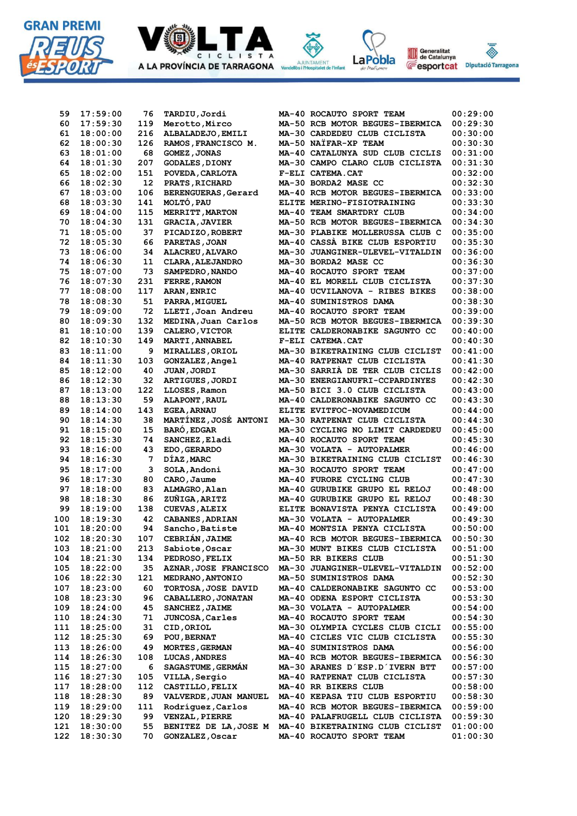



CICLIST

A LA PROVÍNCIA DE TARRAGONA

 **116 18:27:30 105 VILLA,Sergio MA-40 RATPENAT CLUB CICLISTA 00:57:30 117 18:28:00 112 CASTILLO,FELIX MA-40 RR BIKERS CLUB 00:58:00 118 18:28:30 89 VALVERDE,JUAN MANUEL MA-40 KEPASA TIU CLUB ESPORTIU 00:58:30 119 18:29:00 111 Rodríguez,Carlos MA-40 RCB MOTOR BEGUES-IBERMICA 00:59:00 120 18:29:30 99 VENZAL,PIERRE MA-40 PALAFRUGELL CLUB CICLISTA 00:59:30 121 18:30:00 55 BENITEZ DE LA,JOSE M MA-40 BIKETRAINING CLUB CICLIST 01:00:00 122 18:30:30 70 GONZALEZ,Oscar MA-40 ROCAUTO SPORT TEAM 01:00:30**

Generalitat<br>de Catalunya LaPobla **E**esportcat Diputació Tarragona

et de l'Infan